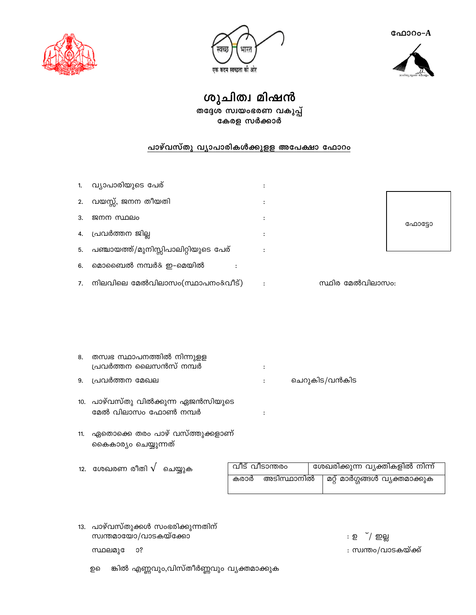ഫോറം-A



एक कदम स्वच्छता की ओर



ശുചിത്വ മിഷൻ

തദ്ദേശ സ്വയംഭരണ വകുപ്പ് കേരള സർക്കാർ

# പാഴ്വസ്തു വ്യാപാരികൾക്കുളള അപേക്ഷാ ഫോറം

|    | വ്യാപാരിയുടെ പേര്                    |   |                  |
|----|--------------------------------------|---|------------------|
| 2. | വയസ്സ്, ജനന തീയതി                    | ٠ |                  |
| 3. | ജനന സ്ഥലം                            | ٠ | ഫോട്ടോ           |
| 4. | പ്രവർത്തന ജില്ല                      | ٠ |                  |
| 5. | പഞ്ചായത്ത്/മുനിസ്സിപാലിറ്റിയുടെ പേര് |   |                  |
| 6. | മൊബൈൽ നമ്പർ& ഇ–മെയിൽ                 |   |                  |
| 7. | നിലവിലെ മേൽവിലാസം(സ്ഥാപനം&വീട്)      |   | സ്ഥിര മേൽവിലാസം: |

| 8.   തസ്വഭ സ്ഥാപനത്തിൽ നിന്നുള്ള<br>പ്രവർത്തന ലൈസൻസ് നമ്പർ |              |               |
|------------------------------------------------------------|--------------|---------------|
|                                                            |              |               |
| 9. പ്രവർത്തന മേഖല                                          | <b>State</b> | ചെറുകിട/വൻകിട |

- 10. പാഴ്വസ്തു വിൽക്കുന്ന ഏജൻസിയുടെ മേൽ വിലാസം ഫോൺ നമ്പർ  $\ddot{\cdot}$
- 11. ഏതൊക്കെ തരം പാഴ് വസ്ത്തുക്കളാണ് കൈകാര്യം ചെയ്യുന്നത്
- വീട് വീടാന്തരം ശേഖരിക്കുന്ന വ്യക്തികളിൽ നിന്ന് 12. ശേഖരണ രീതി  $\sqrt{ }$  ചെയ്യുക കരാർ അടിസ്ഥാനിൽ മറ്റ് മാർഗ്ഗങ്ങൾ വ്യക്തമാക്കുക
- 13. പാഴ്വസ്തുക്കൾ സംഭരിക്കുന്നതിന് സ്വന്തമായോ/വാടകയ്ക്കോ

സ്ഥലമുദേ  $0?$ 

ങ്കിൽ എണ്ണവും,വിസ്തീർണ്ണവും വ്യക്തമാക്കുക றவ

: ഉ ്/ ഇല്ല

: സ്വന്തം/വാടകയ്ക്ക്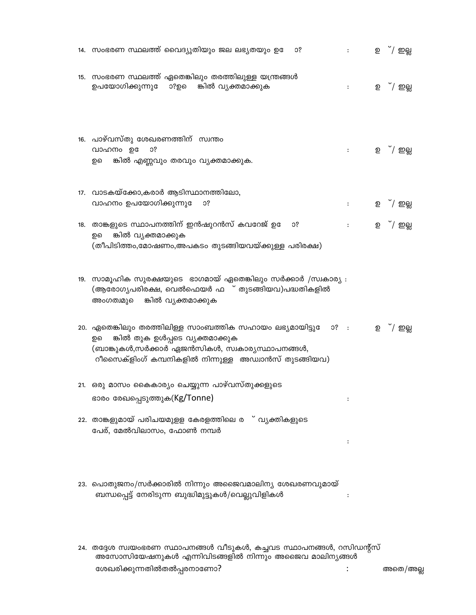| 14.  സംഭരണ സ്ഥലത്ത് വൈദ്യുതിയും ജല ലഭ്യതയും ഉദേ<br>O?                                                                                                                                                       | $\ddot{\cdot}$       | ഉ ്/ ഇല് <u>ല</u> |
|-------------------------------------------------------------------------------------------------------------------------------------------------------------------------------------------------------------|----------------------|-------------------|
| 15. സംഭരണ സ്ഥലത്ത് ഏതെങ്കിലും തരത്തിലുള്ള യന്ത്രങ്ങൾ<br>ഉപയോഗിക്കുന്നുഭ<br>ാ?ഉെ<br>ങ്കിൽ വൃക്തമാക്കുക                                                                                                       | $\ddot{\cdot}$       | <b>ഉ</b> ്/ ഇല്ല  |
| 16. പാഴ്വസ്തു ശേഖരണത്തിന് സ്വന്തം<br>വാഹനം ഉ<br>O?<br>ങ്കിൽ എണ്ണവും തരവും വ്യക്തമാക്കുക.<br>ഉെ                                                                                                              | $\ddot{\cdot}$       | ഉ ്/ ഇല്ല         |
| 17. വാടകയ്ക്കോ,കരാർ ആടിസ്ഥാനത്തിലോ,<br>വാഹനം ഉപയോഗിക്കുന്നുദേ<br>O?                                                                                                                                         | $\ddot{\cdot}$       | ഉ ്/ ഇല്ല         |
| 18.  താങ്കളുടെ സ്ഥാപനത്തിന് ഇൻഷുറൻസ് കവറേജ് ഉദേ<br>O?<br>ങ്കിൽ വ്യക്തമാക്കുക<br>ഉെ<br>(തീപിടിത്തം,മോഷണം,അപകടം തുടങ്ങിയവയ്ക്കുള്ള പരിരക്ഷ)                                                                   | $\ddot{\phantom{a}}$ | <b>ഉ</b> ്/ ഇല്ല  |
| 19. സാമൂഹിക സുരക്ഷയുടെ ഭാഗമായ് ഏതെങ്കിലും സർക്കാർ /സ്വകാര്യ :<br>(ആരോഗ്യപരിരക്ഷ, വെൽഫെയർ ഫ ് തുടങ്ങിയവ)പദ്ധതികളിൽ<br>ങ്കിൽ വൃക്തമാക്കുക<br>അംഗത്വമുെെ                                                       |                      |                   |
| 20. ഏതെങ്കിലും തരത്തിലിള്ള സാംബത്തിക സഹായം ലഭ്യമായിട്ടുേ<br>ങ്കിൽ തുക ഉൾപ്പടെ വ്യക്തമാക്കുക<br>ഉെ<br>(ബാങ്കുകൾ,സർക്കാർ ഏജൻസികൾ, സ്വകാര്യസ്ഥാപനങ്ങൾ,<br>റീസൈക്ളിംഗ് കമ്പനികളിൽ നിന്നുള്ള അഡ്വാൻസ് തുടങ്ങിയവ) | $0?$ :               | <b>ഉ</b> ്/ ഇല്ല  |
| 21. ഒരു മാസം കൈകാര്യം ചെയ്യുന്ന പാഴ്വസ്തുക്കളുടെ<br>ഭാരം രേഖപ്പെടുത്തുക(Kg/Tonne)                                                                                                                           |                      |                   |
| 22. താങ്കളുമായ് പരിചയമുള്ള കേരളത്തിലെ ര ് വ്യക്തികളുടെ<br>പേര്, മേൽവിലാസം, ഫോൺ നമ്പർ                                                                                                                        |                      |                   |
| 23. പൊതുജനം/സർക്കാരിൽ നിന്നും അജൈവമാലിന്യ ശേഖരണവുമായ്<br>ബന്ധപ്പെട്ട് നേരിടുന്ന ബുദ്ധിമുട്ടുകൾ/വെല്ലുവിളികൾ                                                                                                 |                      |                   |
| 24. തദ്ദേശ സ്വയംഭരണ സ്ഥാപനങ്ങൾ വീടുകൾ, കച്ചവട സ്ഥാപനങ്ങൾ, റസിഡന്റ്സ്<br>അസോസിയേഷനുകൾ എന്നിവിടങ്ങളിൽ നിന്നും അജൈവ മാലിന്യങ്ങൾ                                                                                |                      |                   |

ശേഖരിക്കുന്നതിൽതൽപ്പരനാണോ?

അതെ/അല്ല

 $\ddot{\ddot{\phantom{1}}}\,$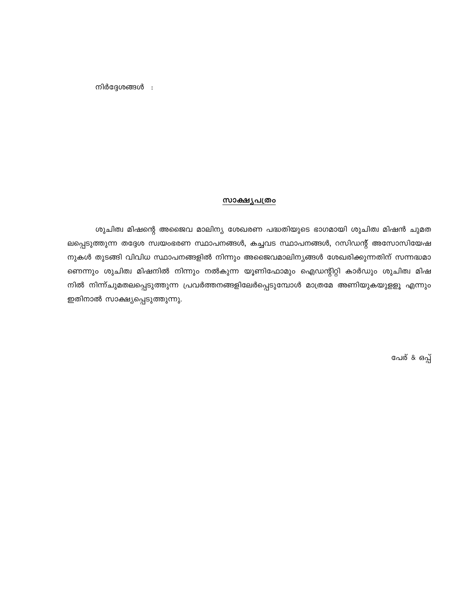നിർദ്ദേശങ്ങൾ :

#### <u>സാക്ഷ്യപത്രം</u>

ശുചിത്വ മിഷന്റെ അജൈവ മാലിന്യ ശേഖരണ പദ്ധതിയുടെ ഭാഗമായി ശുചിത്വ മിഷൻ ചുമത ലപ്പെടുത്തുന്ന തദ്ദേശ സ്വയംഭരണ സ്ഥാപനങ്ങൾ, കച്ചവട സ്ഥാപനങ്ങൾ, റസിഡന്റ് അസോസിയേഷ നുകൾ തുടങ്ങി വിവിധ സ്ഥാപനങ്ങളിൽ നിന്നും അജൈവമാലിനൃങ്ങൾ ശേഖരിക്കുന്നതിന് സന്നദ്ധമാ ണെന്നും ശുചിത്വ മിഷനിൽ നിന്നും നൽകുന്ന യൂണിഫോമും ഐഡന്റിറ്റി കാർഡും ശുചിത്വ മിഷ നിൽ നിന്ന്ചുമതലപ്പെടുത്തുന്ന പ്രവർത്തനങ്ങളിലേർപ്പെടുമ്പോൾ മാത്രമേ അണിയുകയുളളൂ എന്നും ഇതിനാൽ സാക്ഷ്യപ്പെടുത്തുന്നു.

പേര് & ഒപ്പ്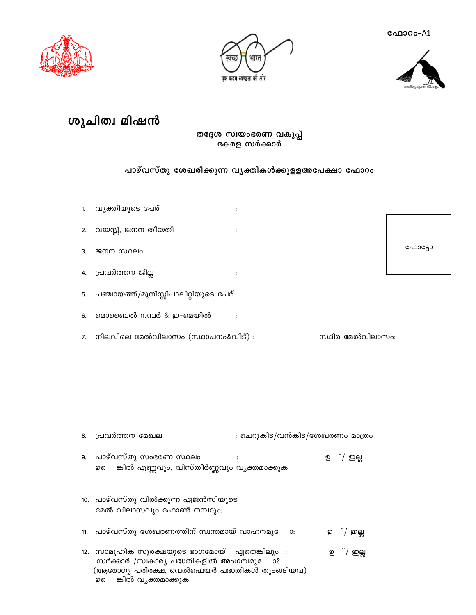ഫോറ**ം-A1** 







# ശുചിത്വ മിഷൻ

## തദ്ദേശ സ്വയംഭരണ വകുപ്പ് കേരള സർക്കാർ

## പാഴ്വസ്തു ശേഖരിക്കുന്ന വ്യക്തികൾക്കുളളഅപേക്ഷാ ഫോറം

 $\ddot{\cdot}$ 

 $\ddot{\cdot}$ 

 $\ddot{\cdot}$ 

 $\ddot{\cdot}$ 

 $\colon$ 

വൃക്തിയുടെ പേര്  $1.$ 

വയസ്സ്, ജനന തീയതി  $2.$ 

- ജനന സ്ഥലം 3.
- പ്രവർത്തന ജില്ല 4.
- പഞ്ചായത്ത്/മുനിസ്സിപാലിറ്റിയുടെ പേര്: 5.
- മൊബൈൽ നമ്പർ & ഇ-മെയിൽ  $6.$
- നിലവിലെ മേൽവിലാസം (സ്ഥാപനം&വീട്) :  $7.$

## ഫോട്ടോ

സ്ഥിര മേൽവിലാസം:

: ചെറുകിട/വൻകിട/ശേഖരണം മാത്രം പ്രവർത്തന മേഖല 8. പാഴ്വസ്തു സംഭരണ സ്ഥലം ്/ ഇല്ല 9.  $\cdot$ ഉ ങ്കിൽ എണ്ണവും, വിസ്തീർണ്ണവും വ്യക്തമാക്കുക ഉെ 10. പാഴ്വസ്തു വിൽക്കുന്ന ഏജൻസിയുടെ മേൽ വിലാസവും ഫോൺ നമ്പറും: 11. പാഴ്വസ്തു ശേഖരണത്തിന് സ്വന്തമായ് വാഹനമുോ: ഉ ്/ ഇല്ല 12. സാമൂഹിക സുരക്ഷയുടെ ഭാഗമോയ് ഏതെങ്കിലും : ഉ ്/ ഇല്ല സർക്കാർ /സ്വകാര്യ പദ്ധതികളിൽ അംഗത്വമുേ ാ?

(ആരോഗ്യ പരിരക്ഷ, വെൽഫെയർ പദ്ധതികൾ തുടങ്ങിയവ)

ങ്കിൽ വ്യക്തമാക്കുക

ഉെ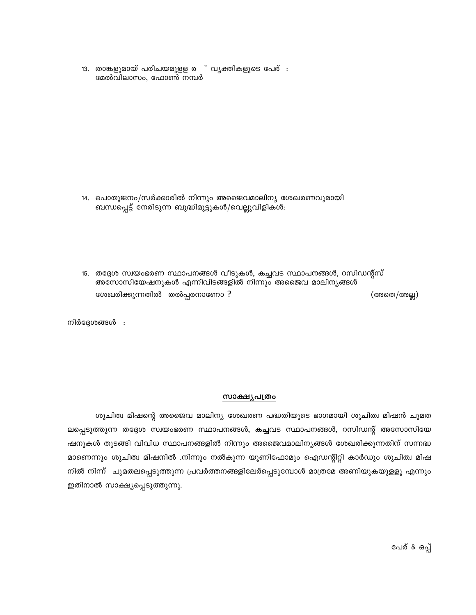13. താങ്കളുമായ് പരിചയമുള്ള ര ് വ്യക്തികളുടെ പേര് : മേൽവിലാസം, ഫോൺ നമ്പർ

- 14. പൊതുജനം/സർക്കാരിൽ നിന്നും അജൈവമാലിന്യ ശേഖരണവുമായി ബന്ധപ്പെട്ട് നേരിടുന്ന ബുദ്ധിമുട്ടുകൾ/വെല്ലുവിളികൾ:
- 15. തദ്ദേശ സ്വയംഭരണ സ്ഥാപനങ്ങൾ വീടുകൾ, കച്ചവട സ്ഥാപനങ്ങൾ, റസിഡന്റ്സ് അസോസിയേഷനുകൾ എന്നിവിടങ്ങളിൽ നിന്നും അജൈവ മാലിനൃങ്ങൾ ശേഖരിക്കുന്നതിൽ തൽപ്പരനാണോ ? (അതെ/അല്ല)

നിർദ്ദേശങ്ങൾ :

#### <u>സാക്ഷ്യപത്രം</u>

ശുചിത്വ മിഷന്റെ അജൈവ മാലിന്യ ശേഖരണ പദ്ധതിയുടെ ഭാഗമായി ശുചിത്വ മിഷൻ ചുമത ലപ്പെടുത്തുന്ന തദ്ദേശ സ്വയംഭരണ സ്ഥാപനങ്ങൾ, കച്ചവട സ്ഥാപനങ്ങൾ, റസിഡന്റ് അസോസിയേ ഷനുകൾ തുടങ്ങി വിവിധ സ്ഥാപനങ്ങളിൽ നിന്നും അജൈവമാലിന്യങ്ങൾ ശേഖരിക്കുന്നതിന് സന്നദ്ധ മാണെന്നും ശുചിത്വ മിഷനിൽ .നിന്നും നൽകുന്ന യൂണിഫോമും ഐഡന്റിറ്റി കാർഡും ശുചിത്വ മിഷ നിൽ നിന്ന് ചുമതലപ്പെടുത്തുന്ന പ്രവർത്തനങ്ങളിലേർപ്പെടുമ്പോൾ മാത്രമേ അണിയുകയുളളൂ എന്നും ഇതിനാൽ സാക്ഷ്യപ്പെടുത്തുന്നു.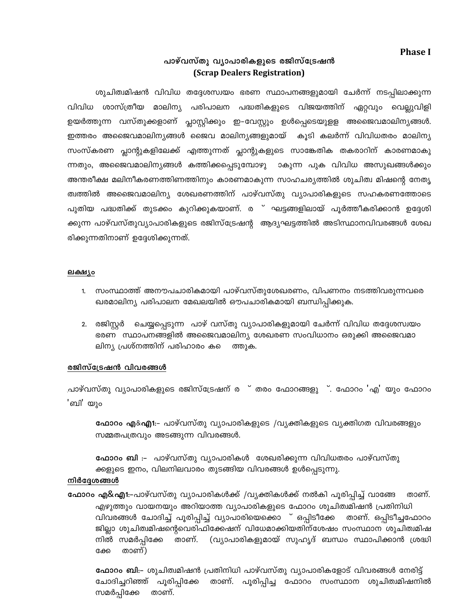## **Phase I**

## പാഴ്വസ്തു വ്യാപാരികളുടെ രജിസ്ട്രേഷൻ (Scrap Dealers Registration)

ശുചിത്വമിഷൻ വിവിധ തദ്ദേശസ്വയം ഭരണ സ്ഥാപനങ്ങളുമായി ചേർന്ന് നടപ്പിലാക്കുന്ന വിവിധ ശാസ്ത്രീയ മാലിന്യ പരിപാലന പദ്ധതികളുടെ വിജയത്തിന് ഏറ്റവും വെല്ലുവിളി ഉയർത്തുന്ന വസ്തുക്കളാണ് പ്ലാസ്റ്റിക്കും ഇ–വേസ്റ്റും ഉൾപ്പെടെയുളള അജൈവമാലിനൃങ്ങൾ. ഇത്തരം അജൈവമാലിന്യങ്ങൾ ജൈവ മാലിന്യങ്ങളുമായ് കൂടി കലർന്ന് വിവിധതരം മാലിന്യ സംസ്കരണ പ്ലാന്റുകളിലേക്ക് എത്തുന്നത് പ്ലാന്റുകളുടെ സാങ്കേതിക തകരാറിന് കാരണമാകു ന്നതും, അജൈവമാലിന്യങ്ങൾ കത്തിക്കപ്പെടുമ്പോഴു ാകുന്ന പുക വിവിധ അസുഖങ്ങൾക്കും അന്തരീക്ഷ മലിനീകരണത്തിണത്തിനും കാരണമാകുന്ന സാഹചര്യത്തിൽ ശുചിത്വ മിഷന്റെ നേതൃ ത്വത്തിൽ അജൈവമാലിന്യ ശേഖരണത്തിന് പാഴ്വസ്തു വ്യാപാരികളുടെ സഹകരണത്തോടെ പുതിയ പദ്ധതിക്ക് തുടക്കം കുറിക്കുകയാണ്. ര<sup>്</sup>ഘട്ടങ്ങളിലായ് പൂർത്തീകരിക്കാൻ ഉദ്ദേശി ക്കുന്ന പാഴ്വസ്തുവ്യാപാരികളുടെ രജിസ്ട്രേഷന്റ ആദ്യഘട്ടത്തിൽ അടിസ്ഥാനവിവരങ്ങൾ ശേഖ രിക്കുന്നതിനാണ് ഉദ്ദേശിക്കുന്നത്.

#### ലക്ഷ്യം

- 1. സംസ്ഥാത്ത് അനൗപചാരികമായി പാഴ്വസ്തുശേഖരണം, വിപണനം നടത്തിവരുന്നവരെ ഖരമാലിന്യ പരിപാലന മേഖലയിൽ ഔപചാരികമായി ബന്ധിപ്പിക്കുക.
- 2. രജിസ്റ്റർ ചെയ്യപ്പെടുന്ന പാഴ് വസ്തു വ്യാപാരികളുമായി ചേർന്ന് വിവിധ തദ്ദേശസ്വയം ഭരണ സ്ഥാപനങ്ങളിൽ അജൈവമാലിന്യ ശേഖരണ സംവിധാനം ഒരുക്കി അജൈവമാ ലിന്യ പ്രശ്നത്തിന് പരിഹാരം ക ത്തുക.

## രജിസ്ട്രേഷൻ വിവരങ്ങൾ

<u>.പാഴ്വസ്തു വ്യാപാരികളുടെ രജിസ്ട്രേഷന് ര<sup>ം</sup> തരം ഫോറങ്ങളു<sup>ം</sup>. ഫോറം 'എ' യും ഫോറം</u> 'ബി' യും

**ഫോറം എ&എ1**:- പാഴ്വസ്തു വ്യാപാരികളുടെ /വ്യക്തികളുടെ വ്യക്തിഗത വിവരങ്ങളും സമ്മതപത്രവും അടങ്ങുന്ന വിവരങ്ങൾ.

**ഫോറം ബി** :– പാഴ്വസ്തു വ്യാപാരികൾ ശേഖരിക്കുന്ന വിവിധതരം പാഴ്വസ്തു ക്കളുടെ ഇനം, വിലനിലവാരം തുടങ്ങിയ വിവരങ്ങൾ ഉൾപ്പെടുന്നു.

## നിർദ്ദേശങ്ങൾ

ഫോറം എ&എ1:–പാഴ്വസ്തു വ്യാപാരികൾക്ക് /വ്യക്തികൾക്ക് നൽകി പൂരിപ്പിച്ച് വാങ്ങേ താണ്. എഴുത്തും വായനയും അറിയാത്ത വ്യാപാരികളുടെ ഫോറം ശുചിത്വമിഷൻ പ്രതിനിധി വിവരങ്ങൾ ചോദിച്ച് പൂരിപ്പിച്ച് വ്യാപാരിയെക്കൊ ് ഒപ്പിടീക്കേ താണ്. ഒപ്പിടീച്ചഫോറം ജില്ലാ ശുചിത്വമിഷന്റെവെരിഫിക്കേഷന് വിധേമാക്കിയതിന്ശേഷം സംസ്ഥാന ശുചിത്വമിഷ (വ്യാപാരികളുമായ് സുഹൃദ് ബന്ധം സ്ഥാപിക്കാൻ ശ്രദ്ധി നിൽ സമർപ്പിക്കേ താണ്. താണ്) ക്കേ

**ഫോറം ബി**:– ശുചിത്വമിഷൻ പ്രതിനിധി പാഴ്വസ്തു വ്യാപാരികളോട് വിവരങ്ങൾ നേരിട്ട് ചോദിച്ചറിഞ്ഞ് പൂരിപ്പിക്കേ താണ്. പൂരിപ്പിച്ച ഫോറം സംസ്ഥാന ശുചിത്വമിഷനിൽ സമർപ്പിക്കേ താണ്.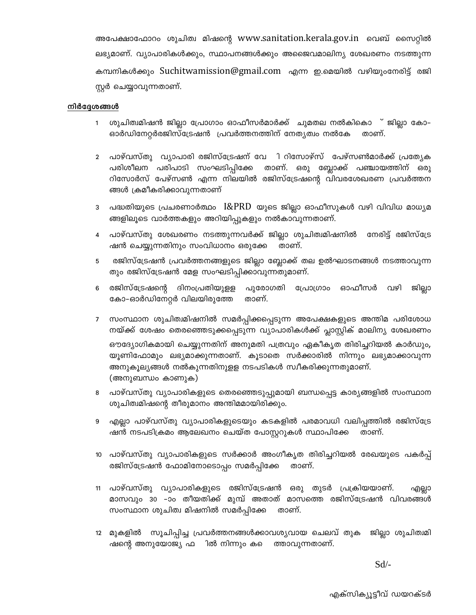അപേക്ഷാഫോറം ശുചിത്വ മിഷന്റെ www.sanitation.kerala.gov.in വെബ് സൈറ്റിൽ ലഭ്യമാണ്. വ്യാപാരികൾക്കും, സ്ഥാപനങ്ങൾക്കും അജൈവമാലിന്യ ശേഖരണം നടത്തുന്ന കമ്പനികൾക്കും Suchitwamission@gmail.com എന്ന ഇ.മെയിൽ വഴിയുംനേരിട്ട് രജി സ്റ്റർ ചെയ്യാവുന്നതാണ്.

#### നിർദ്ദേശങ്ങൾ

- ശുചിത്വമിഷൻ ജില്ലാ പ്രോഗാം ഓഫീസർമാർക്ക് ചുമതല നൽകികൊ ് ജില്ലാ കോ–  $\mathbf{1}$ ഓർഡിനേറ്റർരജിസ്ട്രേഷൻ പ്രവർത്തനത്തിന് നേത്യത്വം നൽകേ താണ്.
- ്പാഴ്വസ്തു വ്യാപാരി രജിസ്ട്രേഷന് വേ ി റിസോഴ്സ് പേഴ്സൺമാർക്ക് പ്രത്യേക  $\overline{2}$ പരിശീലന പരിപാടി സംഘടിപ്പിക്കേ താണ്. ഒരു ബ്ലോക്ക് പഞ്ചായത്തിന് ഒരു റിസോർസ് പേഴ്സൺ എന്ന നിലയിൽ രജിസ്ട്രേഷന്റെ വിവരശേഖരണ പ്രവർത്തന ങ്ങൾ ക്രമീകരിക്കാവുന്നതാണ്
- 3 പദ്ധതിയുടെ പ്രചരണാർത്ഥം I&PRD യുടെ ജില്ലാ ഓഫീസുകൾ വഴി വിവിധ മാധ്യമ ങ്ങളിലൂടെ വാർത്തകളും അറിയിപ്പുകളും നൽകാവുന്നതാണ്.
- പാഴ്വസ്തു ശേഖരണം നടത്തുന്നവർക്ക് ജില്ലാ ശുചിത്വമിഷനിൽ നേരിട്ട് രജിസ്ട്രേ ഷൻ ചെയ്യുന്നതിനും സംവിധാനം ഒരുക്കേ താണ്.
- രജിസ്ട്രേഷൻ പ്രവർത്തനങ്ങളുടെ ജില്ലാ ബ്ലോക്ക് തല ഉൽഘാടനങ്ങൾ നടത്താവുന്ന 5 തും രജിസ്ട്രേഷൻ മേള സംഘടിപ്പിക്കാവുന്നതുമാണ്.
- രജിസ്ട്രേഷന്റെ ഓഫീസർ ദിനംപ്രതിയുളള പുരോഗതി പ്രോഗ്രാം വഴി ജില്ലാ 6 കോ-ഓർഡിനേറ്റർ വിലയിരുത്തേ താണ്.
- സംസ്ഥാന ശുചിത്വമിഷനിൽ സമർപ്പിക്കപ്പെടുന്ന അപേക്ഷകളുടെ അന്തിമ പരിശോധ നയ്ക്ക് ശേഷം തെരഞ്ഞെടുക്കപ്പെടുന്ന വ്യാപാരികൾക്ക് പ്ലാസ്റ്റിക് മാലിന്യ ശേഖരണം ഔദ്യോഗികമായി ചെയ്യുന്നതിന് അനുമതി പത്രവും ഏകീകൃത തിരിച്ചറിയൽ കാർഡും, യുണിഫോമും ലഭ്യമാക്കുന്നതാണ്. കുടാതെ സർക്കാരിൽ നിന്നും ലഭ്യമാക്കാവുന്ന അനുകൂല്യങ്ങൾ നൽകുന്നതിനുളള നടപടികൾ സ്വീകരിക്കുന്നതുമാണ്. (അനുബന്ധം കാണുക)
- പാഴ്വസ്തു വ്യാപാരികളുടെ തെരഞ്ഞെടുപ്പുമായി ബന്ധപ്പെട്ട കാര്യങ്ങളിൽ സംസ്ഥാന 8 ശുചിത്വമിഷന്റെ തീരുമാനം അന്തിമമായിരിക്കും.
- എല്ലാ പാഴ്വസ്തു വ്യാപാരികളുടെയും കടകളിൽ പരമാവധി വലിപ്പത്തിൽ രജിസ്ട്രേ ഷൻ നടപടിക്രമം ആലേഖനം ചെയ്ത പോസ്റ്ററുകൾ സ്ഥാപിക്കേ താണ്.
- 10 പാഴ്വസ്തു വ്യാപാരികളുടെ സർക്കാർ അംഗീകൃത തിരിച്ചറിയൽ രേഖയുടെ പകർപ്പ് രജിസ്ട്രേഷൻ ഫോമിനോടൊപ്പം സമർപ്പിക്കേ താണ്.
- 11 പാഴ്വസ്തു വ്യാപാരികളുടെ രജിസ്ട്രേഷൻ ഒരു തുടർ പ്രക്രിയയാണ്. എല്ലാ മാസവും 30 –ാം തീയതിക്ക് മുമ്പ് അതാത് മാസത്തെ രജിസ്ട്രേഷൻ വിവരങ്ങൾ സംസ്ഥാന ശുചിത്വ മിഷനിൽ സമർപ്പിക്കേ താണ്.
- 12 മുകളിൽ സൂചിപ്പിച്ച പ്രവർത്തനങ്ങൾക്കാവശ്യവായ ചെലവ് തുക ജില്ലാ ശുചിത്വമി ഷന്റെ അനുയോജ്യ ഫ ിൽ നിന്നും ക**െ** ത്താവുന്നതാണ്.

 $Sd$